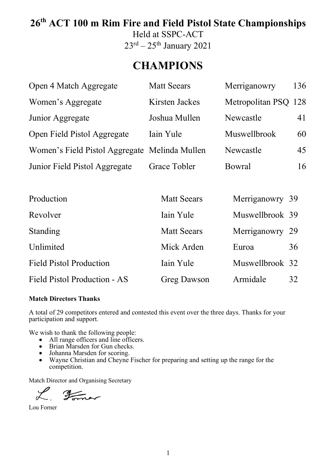# **26th ACT 100 m Rim Fire and Field Pistol State Championships**

Held at SSPC-ACT  $23^{\text{rd}} - 25^{\text{th}}$  January 2021

# **CHAMPIONS**

| Open 4 Match Aggregate                        | <b>Matt Seears</b> | Merriganowry         | 136 |
|-----------------------------------------------|--------------------|----------------------|-----|
| Women's Aggregate                             | Kirsten Jackes     | Metropolitan PSQ 128 |     |
| Junior Aggregate                              | Joshua Mullen      | Newcastle            | 41  |
| Open Field Pistol Aggregate                   | Iain Yule          | Muswellbrook         | 60  |
| Women's Field Pistol Aggregate Melinda Mullen |                    | Newcastle            | 45  |
| Junior Field Pistol Aggregate                 | Grace Tobler       | <b>Bowral</b>        | 16  |

| Production                     | <b>Matt Seears</b> | Merriganowry 39 |    |
|--------------------------------|--------------------|-----------------|----|
| Revolver                       | Iain Yule          | Muswellbrook 39 |    |
| Standing                       | <b>Matt Seears</b> | Merriganowry 29 |    |
| Unlimited                      | Mick Arden         | Euroa           | 36 |
| <b>Field Pistol Production</b> | Iain Yule          | Muswellbrook 32 |    |
| Field Pistol Production - AS   | <b>Greg Dawson</b> | Armidale        | 32 |

#### **Match Directors Thanks**

A total of 29 competitors entered and contested this event over the three days. Thanks for your participation and support.

We wish to thank the following people:

- All range officers and line officers.
- Brian Marsden for Gun checks.
- Johanna Marsden for scoring.<br>• Wavne Christian and Chevne
- Wayne Christian and Cheyne Fischer for preparing and setting up the range for the competition.

Match Director and Organising Secretary

 $\mathscr{L}$ Former

Lou Forner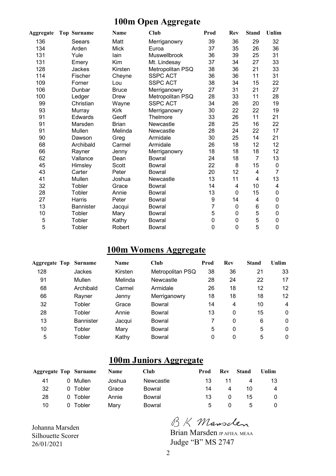### **100m Open Aggregate**

| <b>Aggregate</b> | <b>Top Surname</b> | <b>Name</b>  | Club                | Prod      | Rev | <b>Stand</b> | Unlim |
|------------------|--------------------|--------------|---------------------|-----------|-----|--------------|-------|
| 136              | Seears             | Matt         | Merriganowry        | 39        | 36  | 29           | 32    |
| 134              | Arden              | <b>Mick</b>  | Euroa               | 37        | 35  | 26           | 36    |
| 131              | Yule               | lain         | <b>Muswellbrook</b> | 36        | 39  | 25           | 31    |
| 131              | Emery              | Kim          | Mt. Lindesay        | 37        | 34  | 27           | 33    |
| 128              | <b>Jackes</b>      | Kirsten      | Metropolitan PSQ    | 38        | 36  | 21           | 33    |
| 114              | Fischer            | Cheyne       | <b>SSPC ACT</b>     | 36        | 36  | 11           | 31    |
| 109              | Forner             | Lou          | <b>SSPC ACT</b>     | 38        | 34  | 15           | 22    |
| 106              | Dunbar             | <b>Bruce</b> | Merriganowry        | 27        | 31  | 21           | 27    |
| 100              | Ledger             | Drew         | Metropolitan PSQ    | 28        | 33  | 11           | 28    |
| 99               | Christian          | Wayne        | <b>SSPC ACT</b>     | 34        | 26  | 20           | 19    |
| 93               | Murray             | Kirk         | Merriganowry        | 30        | 22  | 22           | 19    |
| 91               | <b>Edwards</b>     | Geoff        | Thelmore            | 33        | 26  | 11           | 21    |
| 91               | Marsden            | <b>Brian</b> | Newcastle           | 28        | 25  | 16           | 22    |
| 91               | Mullen             | Melinda      | Newcastle           | 28        | 24  | 22           | 17    |
| 90               | Dawson             | Greg         | Armidale            | 30        | 25  | 14           | 21    |
| 68               | Archibald          | Carmel       | Armidale            | 26        | 18  | 12           | 12    |
| 66               | Rayner             | Jenny        | Merriganowry        | 18        | 18  | 18           | 12    |
| 62               | Vallance           | Dean         | <b>Bowral</b>       | 24        | 18  | 7            | 13    |
| 45               | Himsley            | Scott        | Bowral              | 22        | 8   | 15           | 0     |
| 43               | Carter             | Peter        | Bowral              | 20        | 12  | 4            | 7     |
| 41               | Mullen             | Joshua       | Newcastle           | 13        | 11  | 4            | 13    |
| 32               | Tobler             | Grace        | <b>Bowral</b>       | 14        | 4   | 10           | 4     |
| 28               | Tobler             | Annie        | <b>Bowral</b>       | 13        | 0   | 15           | 0     |
| 27               | Harris             | Peter        | <b>Bowral</b>       | 9         | 14  | 4            | 0     |
| 13               | <b>Bannister</b>   | Jacqui       | <b>Bowral</b>       | 7         | 0   | 6            | 0     |
| 10               | Tobler             | Mary         | <b>Bowral</b>       | 5         | 0   | 5            | 0     |
| 5                | Tobler             | Kathy        | <b>Bowral</b>       | $\pmb{0}$ | 0   | 5            | 0     |
| 5                | Tobler             | Robert       | <b>Bowral</b>       | 0         | 0   | 5            | 0     |

### **100m Womens Aggregate**

| <b>Aggregate Top</b> | <b>Surname</b>   | <b>Name</b> | Club             | Prod | Rev | <b>Stand</b> | Unlim        |
|----------------------|------------------|-------------|------------------|------|-----|--------------|--------------|
| 128                  | <b>Jackes</b>    | Kirsten     | Metropolitan PSQ | 38   | 36  | 21           | 33           |
| 91                   | Mullen           | Melinda     | Newcastle        | 28   | 24  | 22           | 17           |
| 68                   | Archibald        | Carmel      | Armidale         | 26   | 18  | 12           | 12           |
| 66                   | Rayner           | Jenny       | Merriganowry     | 18   | 18  | 18           | 12           |
| 32                   | Tobler           | Grace       | Bowral           | 14   | 4   | 10           | 4            |
| 28                   | Tobler           | Annie       | Bowral           | 13   | 0   | 15           | 0            |
| 13                   | <b>Bannister</b> | Jacqui      | Bowral           | 7    | 0   | 6            | 0            |
| 10                   | Tobler           | Mary        | <b>Bowral</b>    | 5    | 0   | 5            | 0            |
| 5                    | Tobler           | Kathy       | Bowral           | 0    | 0   | 5            | $\mathbf{0}$ |

### **100m Juniors Aggregate**

| Aggregate Top Surname |          | <b>Name</b> | <b>Club</b> | Prod | Rev      | Stand | Unlim    |
|-----------------------|----------|-------------|-------------|------|----------|-------|----------|
| 41                    | 0 Mullen | Joshua      | Newcastle   | 13   | 11       |       | 13       |
| 32                    | 0 Tobler | Grace       | Bowral      | 14   | 4        | 10    | 4        |
| 28                    | 0 Tobler | Annie       | Bowral      | 13.  | $\Omega$ | 15    | $\Omega$ |
| 10                    | 0 Tobler | Marv        | Bowral      | 5    |          | .5    |          |

Johanna Marsden Silhouette Scorer 26/01/2021

BK Mansclen

Brian Marsden JP AFIEA. MEAA Judge "B" MS 2747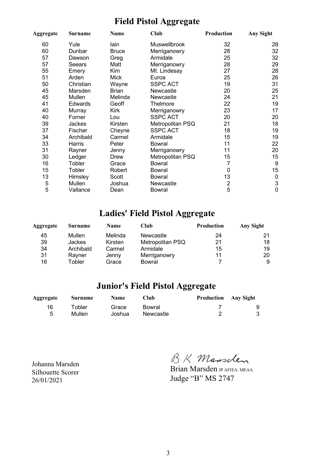### **Field Pistol Aggregate**

| Aggregate | <b>Surname</b> | Name         | <b>Club</b>      | Production     | <b>Any Sight</b>          |
|-----------|----------------|--------------|------------------|----------------|---------------------------|
| 60        | Yule           | lain         | Muswellbrook     | 32             | 28                        |
| 60        | Dunbar         | <b>Bruce</b> | Merriganowry     | 28             | 32                        |
| 57        | Dawson         | Greg         | Armidale         | 25             | 32                        |
| 57        | Seears         | Matt         | Merriganowry     | 28             | 29                        |
| 55        | Emery          | Kim          | Mt. Lindesay     | 27             | 28                        |
| 51        | Arden          | <b>Mick</b>  | Euroa            | 25             | 26                        |
| 50        | Christian      | Wayne        | <b>SSPC ACT</b>  | 19             | 31                        |
| 45        | Marsden        | <b>Brian</b> | Newcastle        | 20             | 25                        |
| 45        | Mullen         | Melinda      | Newcastle        | 24             | 21                        |
| 41        | Edwards        | Geoff        | Thelmore         | 22             | 19                        |
| 40        | Murray         | Kirk         | Merriganowry     | 23             | 17                        |
| 40        | Forner         | Lou          | <b>SSPC ACT</b>  | 20             | 20                        |
| 39        | <b>Jackes</b>  | Kirsten      | Metropolitan PSQ | 21             | 18                        |
| 37        | Fischer        | Cheyne       | <b>SSPC ACT</b>  | 18             | 19                        |
| 34        | Archibald      | Carmel       | Armidale         | 15             | 19                        |
| 33        | Harris         | Peter        | Bowral           | 11             | 22                        |
| 31        | Rayner         | Jenny        | Merriganowry     | 11             | 20                        |
| 30        | Ledger         | Drew         | Metropolitan PSQ | 15             | 15                        |
| 16        | Tobler         | Grace        | <b>Bowral</b>    | 7              | $9\,$                     |
| 15        | Tobler         | Robert       | Bowral           | 0              | 15                        |
| 13        | Himsley        | Scott        | <b>Bowral</b>    | 13             | $\boldsymbol{0}$          |
| 5         | Mullen         | Joshua       | Newcastle        | $\overline{2}$ | $\ensuremath{\mathsf{3}}$ |
| 5         | Vallance       | Dean         | Bowral           | 5              | $\mathbf 0$               |

## **Ladies' Field Pistol Aggregate**

| Aggregate | Surname   | <b>Name</b> | Club             | <b>Production</b> | Any Sight |
|-----------|-----------|-------------|------------------|-------------------|-----------|
| 45        | Mullen    | Melinda     | Newcastle        | 24                |           |
| 39        | Jackes    | Kirsten     | Metropolitan PSQ | 21                | 18        |
| 34        | Archibald | Carmel      | Armidale         | 15                | 19        |
| 31        | Rayner    | Jenny       | Merriganowry     | 11                | 20        |
| 16        | Tobler    | Grace       | Bowral           |                   | 9         |

### **Junior's Field Pistol Aggregate**

| <b>Aggregate</b> | Surname | Name   | Club      | <b>Production</b> Any Sight |   |
|------------------|---------|--------|-----------|-----------------------------|---|
| 16               | ⊤obler  | Grace  | Bowral    |                             | 9 |
| 5                | Mullen  | Joshua | Newcastle |                             | 3 |

Johanna Marsden Silhouette Scorer 26/01/2021

BK Mansclen

Brian Marsden JP AFIEA. MEAA Judge "B" MS 2747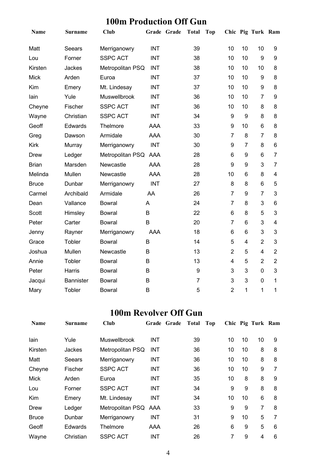### **100m Production Off Gun**

| <b>Name</b>  | <b>Surname</b>   | <b>Club</b>      | Grade Grade | <b>Total</b>   | <b>Top</b> |                |                  | Chic Pig Turk Ram |                         |
|--------------|------------------|------------------|-------------|----------------|------------|----------------|------------------|-------------------|-------------------------|
| Matt         | Seears           | Merriganowry     | <b>INT</b>  | 39             |            | 10             | 10               | 10                | 9                       |
| Lou          | Forner           | <b>SSPC ACT</b>  | <b>INT</b>  | 38             |            | 10             | 10               | 9                 | 9                       |
| Kirsten      | Jackes           | Metropolitan PSQ | <b>INT</b>  | 38             |            | 10             | 10               | 10                | 8                       |
| <b>Mick</b>  | Arden            | Euroa            | <b>INT</b>  | 37             |            | 10             | 10               | 9                 | 8                       |
| Kim          | Emery            | Mt. Lindesay     | <b>INT</b>  | 37             |            | 10             | 10               | 9                 | 8                       |
| lain         | Yule             | Muswellbrook     | <b>INT</b>  | 36             |            | 10             | 10               | $\overline{7}$    | 9                       |
| Cheyne       | Fischer          | <b>SSPC ACT</b>  | <b>INT</b>  | 36             |            | 10             | 10               | 8                 | 8                       |
| Wayne        | Christian        | <b>SSPC ACT</b>  | <b>INT</b>  | 34             |            | 9              | $\boldsymbol{9}$ | 8                 | 8                       |
| Geoff        | Edwards          | Thelmore         | <b>AAA</b>  | 33             |            | 9              | 10               | 6                 | 8                       |
| Greg         | Dawson           | Armidale         | <b>AAA</b>  | 30             |            | $\overline{7}$ | 8                | $\overline{7}$    | 8                       |
| <b>Kirk</b>  | Murray           | Merriganowry     | <b>INT</b>  | 30             |            | 9              | $\overline{7}$   | 8                 | $6\phantom{1}$          |
| Drew         | Ledger           | Metropolitan PSQ | AAA         | 28             |            | 6              | 9                | 6                 | $\overline{7}$          |
| <b>Brian</b> | Marsden          | Newcastle        | <b>AAA</b>  | 28             |            | 9              | 9                | 3                 | $\overline{7}$          |
| Melinda      | Mullen           | Newcastle        | <b>AAA</b>  | 28             |            | 10             | 6                | 8                 | $\overline{\mathbf{4}}$ |
| <b>Bruce</b> | Dunbar           | Merriganowry     | <b>INT</b>  | 27             |            | 8              | 8                | 6                 | 5                       |
| Carmel       | Archibald        | Armidale         | AA          | 26             |            | $\overline{7}$ | 9                | $\overline{7}$    | 3                       |
| Dean         | Vallance         | <b>Bowral</b>    | A           | 24             |            | $\overline{7}$ | 8                | 3                 | 6                       |
| Scott        | Himsley          | <b>Bowral</b>    | B           | 22             |            | 6              | 8                | 5                 | 3                       |
| Peter        | Carter           | <b>Bowral</b>    | B           | 20             |            | $\overline{7}$ | $6\phantom{1}6$  | 3                 | $\overline{\mathbf{4}}$ |
| Jenny        | Rayner           | Merriganowry     | <b>AAA</b>  | 18             |            | 6              | 6                | 3                 | 3                       |
| Grace        | Tobler           | <b>Bowral</b>    | B           | 14             |            | 5              | $\overline{4}$   | $\overline{2}$    | 3                       |
| Joshua       | Mullen           | Newcastle        | B           | 13             |            | $\overline{2}$ | 5                | $\overline{4}$    | $\overline{2}$          |
| Annie        | Tobler           | <b>Bowral</b>    | B           | 13             |            | 4              | 5                | $\overline{2}$    | $\overline{2}$          |
| Peter        | Harris           | <b>Bowral</b>    | B           | 9              |            | 3              | 3                | 0                 | 3                       |
| Jacqui       | <b>Bannister</b> | <b>Bowral</b>    | B           | $\overline{7}$ |            | 3              | 3                | $\mathbf 0$       | 1                       |
| Mary         | Tobler           | <b>Bowral</b>    | B           | 5              |            | $\overline{2}$ | 1                | $\mathbf 1$       | 1                       |

### **100m Revolver Off Gun**

| Name         | <b>Surname</b> | <b>Club</b>          |            | Grade Grade | <b>Total</b> | Top |    |    | Chic Pig Turk Ram |   |
|--------------|----------------|----------------------|------------|-------------|--------------|-----|----|----|-------------------|---|
| lain         | Yule           | <b>Muswellbrook</b>  | INT        |             | 39           |     | 10 | 10 | 10                | 9 |
| Kirsten      | Jackes         | Metropolitan PSQ     | <b>INT</b> |             | 36           |     | 10 | 10 | 8                 | 8 |
| Matt         | Seears         | Merriganowry         | <b>INT</b> |             | 36           |     | 10 | 10 | 8                 | 8 |
| Cheyne       | Fischer        | <b>SSPC ACT</b>      | <b>INT</b> |             | 36           |     | 10 | 10 | 9                 | 7 |
| <b>Mick</b>  | Arden          | Euroa                | INT        |             | 35           |     | 10 | 8  | 8                 | 9 |
| Lou          | Forner         | <b>SSPC ACT</b>      | <b>INT</b> |             | 34           |     | 9  | 9  | 8                 | 8 |
| Kim          | Emery          | Mt. Lindesay         | INT        |             | 34           |     | 10 | 10 | 6                 | 8 |
| Drew         | Ledger         | Metropolitan PSQ AAA |            |             | 33           |     | 9  | 9  | 7                 | 8 |
| <b>Bruce</b> | Dunbar         | Merriganowry         | INT        |             | 31           |     | 9  | 10 | 5                 | 7 |
| Geoff        | Edwards        | Thelmore             | AAA        |             | 26           |     | 6  | 9  | 5                 | 6 |
| Wayne        | Christian      | <b>SSPC ACT</b>      | <b>INT</b> |             | 26           |     | 7  | 9  | 4                 | 6 |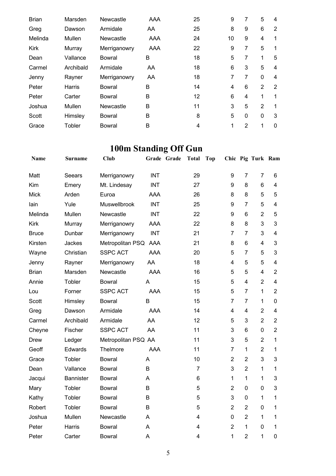| <b>Brian</b> | Marsden   | Newcastle     | <b>AAA</b> | 25 | 9  | 7            | 5              | 4        |
|--------------|-----------|---------------|------------|----|----|--------------|----------------|----------|
| Greg         | Dawson    | Armidale      | AA         | 25 | 8  | 9            | 6              | 2        |
| Melinda      | Mullen    | Newcastle     | AAA        | 24 | 10 | 9            | 4              | 1        |
| <b>Kirk</b>  | Murray    | Merriganowry  | AAA        | 22 | 9  | 7            | 5              | 1        |
| Dean         | Vallance  | <b>Bowral</b> | B          | 18 | 5  | 7            | 1              | 5        |
| Carmel       | Archibald | Armidale      | AA         | 18 | 6  | 3            | 5              | 4        |
| Jenny        | Rayner    | Merriganowry  | AA         | 18 | 7  | 7            | $\mathbf 0$    | 4        |
| Peter        | Harris    | <b>Bowral</b> | B          | 14 | 4  | 6            | $\overline{2}$ | 2        |
| Peter        | Carter    | <b>Bowral</b> | B          | 12 | 6  | 4            | 1              | 1        |
| Joshua       | Mullen    | Newcastle     | B          | 11 | 3  | 5            | $\overline{2}$ | 1        |
| Scott        | Himsley   | <b>Bowral</b> | B          | 8  | 5  | $\mathbf{0}$ | $\Omega$       | 3        |
| Grace        | Tobler    | Bowral        | B          | 4  | 1  | 2            | 1              | $\Omega$ |

# **100m Standing Off Gun**

| <b>Name</b>  | Surname          | <b>Club</b>         |            | Grade Grade | <b>Total</b>   | <b>Top</b> |                |                | Chic Pig Turk Ram |                         |
|--------------|------------------|---------------------|------------|-------------|----------------|------------|----------------|----------------|-------------------|-------------------------|
| Matt         | Seears           | Merriganowry        | <b>INT</b> |             | 29             |            | 9              | $\overline{7}$ | $\overline{7}$    | 6                       |
| Kim          | Emery            | Mt. Lindesay        | <b>INT</b> |             | 27             |            | 9              | 8              | 6                 | $\overline{\mathbf{4}}$ |
| <b>Mick</b>  | Arden            | Euroa               | AAA        |             | 26             |            | 8              | 8              | 5                 | 5                       |
| lain         | Yule             | Muswellbrook        | <b>INT</b> |             | 25             |            | 9              | $\overline{7}$ | 5                 | $\overline{4}$          |
| Melinda      | Mullen           | Newcastle           | <b>INT</b> |             | 22             |            | 9              | 6              | $\overline{2}$    | 5                       |
| <b>Kirk</b>  | Murray           | Merriganowry        | AAA        |             | 22             |            | 8              | 8              | 3                 | 3                       |
| <b>Bruce</b> | Dunbar           | Merriganowry        | <b>INT</b> |             | 21             |            | 7              | $\overline{7}$ | 3                 | $\overline{\mathbf{4}}$ |
| Kirsten      | Jackes           | Metropolitan PSQ    | AAA        |             | 21             |            | 8              | 6              | 4                 | 3                       |
| Wayne        | Christian        | <b>SSPC ACT</b>     | <b>AAA</b> |             | 20             |            | 5              | $\overline{7}$ | 5                 | 3                       |
| Jenny        | Rayner           | Merriganowry        | AA         |             | 18             |            | 4              | 5              | 5                 | $\overline{4}$          |
| <b>Brian</b> | Marsden          | Newcastle           | <b>AAA</b> |             | 16             |            | 5              | 5              | 4                 | $\overline{2}$          |
| Annie        | Tobler           | <b>Bowral</b>       | Α          |             | 15             |            | 5              | 4              | $\overline{2}$    | $\overline{\mathbf{4}}$ |
| Lou          | Forner           | <b>SSPC ACT</b>     | <b>AAA</b> |             | 15             |            | 5              | $\overline{7}$ | $\mathbf{1}$      | $\overline{2}$          |
| Scott        | Himsley          | <b>Bowral</b>       | B          |             | 15             |            | $\overline{7}$ | $\overline{7}$ | $\mathbf{1}$      | 0                       |
| Greg         | Dawson           | Armidale            | AAA        |             | 14             |            | 4              | 4              | $\overline{2}$    | $\overline{\mathbf{4}}$ |
| Carmel       | Archibald        | Armidale            | AA         |             | 12             |            | 5              | 3              | $\overline{2}$    | $\overline{2}$          |
| Cheyne       | Fischer          | <b>SSPC ACT</b>     | AA         |             | 11             |            | 3              | 6              | $\overline{0}$    | $\overline{2}$          |
| <b>Drew</b>  | Ledger           | Metropolitan PSQ AA |            |             | 11             |            | 3              | 5              | $\overline{2}$    | 1                       |
| Geoff        | Edwards          | Thelmore            | <b>AAA</b> |             | 11             |            | $\overline{7}$ | 1              | $\overline{2}$    | 1                       |
| Grace        | Tobler           | <b>Bowral</b>       | A          |             | 10             |            | $\overline{2}$ | $\overline{2}$ | 3                 | 3                       |
| Dean         | Vallance         | <b>Bowral</b>       | B          |             | $\overline{7}$ |            | 3              | $\overline{2}$ | $\mathbf{1}$      | $\mathbf{1}$            |
| Jacqui       | <b>Bannister</b> | <b>Bowral</b>       | A          |             | 6              |            | 1              | $\mathbf{1}$   | $\mathbf{1}$      | 3                       |
| Mary         | Tobler           | <b>Bowral</b>       | B          |             | 5              |            | $\overline{2}$ | 0              | $\mathbf 0$       | 3                       |
| Kathy        | Tobler           | <b>Bowral</b>       | B          |             | 5              |            | 3              | 0              | 1                 | 1                       |
| Robert       | Tobler           | <b>Bowral</b>       | B          |             | 5              |            | $\overline{2}$ | $\overline{2}$ | $\mathbf 0$       | 1                       |
| Joshua       | Mullen           | Newcastle           | A          |             | 4              |            | 0              | $\overline{2}$ | 1                 | 1                       |
| Peter        | Harris           | <b>Bowral</b>       | A          |             | 4              |            | $\overline{2}$ | 1              | 0                 | 1                       |
| Peter        | Carter           | <b>Bowral</b>       | A          |             | $\overline{4}$ |            | 1              | $\overline{2}$ | 1                 | 0                       |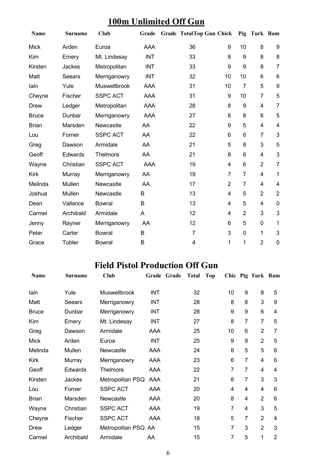### **100m Unlimited Off Gun**

| Name         | <b>Surname</b> | Club            | Grade      | <b>Grade TotalTop Gun Chick</b> |                |                | Pig Turk Ram            |                |
|--------------|----------------|-----------------|------------|---------------------------------|----------------|----------------|-------------------------|----------------|
| <b>Mick</b>  | Arden          | Euroa           | <b>AAA</b> | 36                              | 9              | 10             | 8                       | 9              |
| Kim          | Emery          | Mt. Lindesay    | <b>INT</b> | 33                              | 8              | 9              | 8                       | 8              |
| Kirsten      | Jackes         | Metropolitan    | <b>INT</b> | 33                              | 9              | 9              | 8                       | $\overline{7}$ |
| Matt         | Seears         | Merriganowry    | <b>INT</b> | 32                              | 10             | 10             | 6                       | 6              |
| lain         | Yule           | Muswellbrook    | AAA        | 31                              | 10             | $\overline{7}$ | 5                       | 9              |
| Cheyne       | Fischer        | <b>SSPC ACT</b> | AAA        | 31                              | 9              | 10             | 7                       | 5              |
| Drew         | Ledger         | Metropolitan    | <b>AAA</b> | 28                              | 8              | 9              | $\overline{\mathbf{4}}$ | $\overline{7}$ |
| <b>Bruce</b> | Dunbar         | Merriganowry    | <b>AAA</b> | 27                              | 8              | 8              | 6                       | 5              |
| <b>Brian</b> | Marsden        | Newcastle       | AA         | 22                              | 9              | 5              | $\overline{\mathbf{4}}$ | 4              |
| Lou          | Forner         | <b>SSPC ACT</b> | AA         | 22                              | 6              | 6              | 7                       | 3              |
| Greg         | Dawson         | Armidale        | AA         | 21                              | 5              | 8              | 3                       | 5              |
| Geoff        | Edwards        | Thelmore        | AA         | 21                              | 8              | 6              | $\overline{\mathbf{4}}$ | 3              |
| Wayne        | Christian      | <b>SSPC ACT</b> | <b>AAA</b> | 19                              | 4              | 6              | $\overline{2}$          | $\overline{7}$ |
| <b>Kirk</b>  | Murray         | Merriganowry    | AA         | 19                              | $\overline{7}$ | $\overline{7}$ | $\overline{\mathbf{4}}$ | 1              |
| Melinda      | Mullen         | Newcastle       | AA         | 17                              | $\overline{2}$ | 7              | 4                       | 4              |
| Joshua       | Mullen         | Newcastle       | B          | 13                              | 4              | 5              | $\overline{2}$          | $\overline{2}$ |
| Dean         | Vallance       | <b>Bowral</b>   | B          | 13                              | 4              | 5              | $\overline{\mathbf{4}}$ | $\mathbf 0$    |
| Carmel       | Archibald      | Armidale        | A          | 12                              | 4              | $\overline{2}$ | 3                       | $\mathbf{3}$   |
| Jenny        | Rayner         | Merriganowry    | AA         | 12                              | 6              | 5              | $\mathbf 0$             | 1              |
| Peter        | Carter         | <b>Bowral</b>   | B          | $\overline{7}$                  | 3              | 0              | 1                       | $\mathbf{3}$   |
| Grace        | Tobler         | <b>Bowral</b>   | B          | 4                               | 1              | 1              | $\overline{2}$          | $\mathbf 0$    |

## **Field Pistol Production Off Gun**

| <b>Name</b>  | <b>Surname</b> | Club                |            | Grade Grade | <b>Total</b> | <b>Top</b> |    |                  | Chic Pig Turk Ram |                |
|--------------|----------------|---------------------|------------|-------------|--------------|------------|----|------------------|-------------------|----------------|
| lain         | Yule           | Muswellbrook        | <b>INT</b> |             | 32           |            | 10 | 9                | 8                 | 5              |
| Matt         | Seears         | Merriganowry        | <b>INT</b> |             | 28           |            | 8  | 8                | 3                 | 9              |
| <b>Bruce</b> | Dunbar         | Merriganowry        | <b>INT</b> |             | 28           |            | 9  | $\boldsymbol{9}$ | 6                 | 4              |
| Kim          | Emery          | Mt. Lindesay        | <b>INT</b> |             | 27           |            | 8  | 7                | $\overline{7}$    | 5              |
| Greg         | Dawson         | Armidale            | AAA        |             | 25           |            | 10 | 6                | $\overline{2}$    | 7              |
| <b>Mick</b>  | Arden          | Euroa               | <b>INT</b> |             | 25           |            | 9  | $\boldsymbol{9}$ | $\overline{2}$    | 5              |
| Melinda      | Mullen         | Newcastle           | AAA        |             | 24           |            | 8  | 5                | 5                 | 6              |
| Kirk         | Murray         | Merriganowry        | AAA        |             | 23           |            | 6  | $\overline{7}$   | 4                 | 6              |
| Geoff        | Edwards        | Thelmore            | AAA        |             | 22           |            | 7  | $\overline{7}$   | 4                 | 4              |
| Kirsten      | Jackes         | Metropolitan PSQ    | AAA        |             | 21           |            | 8  | $\overline{7}$   | 3                 | 3              |
| Lou          | Forner         | <b>SSPC ACT</b>     | AAA        |             | 20           |            | 4  | 4                | 4                 | 6              |
| <b>Brian</b> | Marsden        | Newcastle           | AAA        |             | 20           |            | 8  | 4                | $\overline{2}$    | 6              |
| Wayne        | Christian      | <b>SSPC ACT</b>     | AAA        |             | 19           |            | 7  | 4                | 3                 | 5              |
| Cheyne       | Fischer        | <b>SSPC ACT</b>     | <b>AAA</b> |             | 18           |            | 5  | $\overline{7}$   | $\overline{2}$    | 4              |
| Drew         | Ledger         | Metropolitan PSQ AA |            |             | 15           |            | 7  | 3                | $\overline{2}$    | 3              |
| Carmel       | Archibald      | Armidale            | AA         |             | 15           |            | 7  | 5                | 1                 | $\overline{2}$ |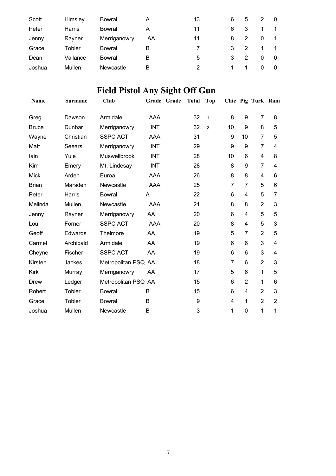| Scott  | Himsley  | Bowral       | Α  | 13 | 6 | 5             |   |  |
|--------|----------|--------------|----|----|---|---------------|---|--|
| Peter  | Harris   | Bowral       | A  | 11 | 6 | 3             |   |  |
| Jenny  | Rayner   | Merriganowry | AA | 11 | 8 |               | 0 |  |
| Grace  | Tobler   | Bowral       | В  |    | 3 | $\mathcal{P}$ |   |  |
| Dean   | Vallance | Bowral       | в  | 5  | 3 | 2             | 0 |  |
| Joshua | Mullen   | Newcastle    | В  | 2  |   |               | 0 |  |

# **Field Pistol Any Sight Off Gun**

| <b>Name</b>  | Surname        | Club                | Grade      | Grade | <b>Total</b> | <b>Top</b>     |    |                | Chic Pig Turk Ram |                |
|--------------|----------------|---------------------|------------|-------|--------------|----------------|----|----------------|-------------------|----------------|
| Greg         | Dawson         | Armidale            | AAA        |       | 32           | $\mathbf{1}$   | 8  | 9              | 7                 | 8              |
| <b>Bruce</b> | Dunbar         | Merriganowry        | <b>INT</b> |       | 32           | $\overline{2}$ | 10 | 9              | 8                 | 5              |
| Wayne        | Christian      | <b>SSPC ACT</b>     | AAA        |       | 31           |                | 9  | 10             | $\overline{7}$    | 5              |
| Matt         | Seears         | Merriganowry        | <b>INT</b> |       | 29           |                | 9  | 9              | $\overline{7}$    | $\overline{4}$ |
| lain         | Yule           | <b>Muswellbrook</b> | <b>INT</b> |       | 28           |                | 10 | 6              | 4                 | 8              |
| Kim          | Emery          | Mt. Lindesay        | <b>INT</b> |       | 28           |                | 8  | 9              | $\overline{7}$    | 4              |
| <b>Mick</b>  | Arden          | Euroa               | AAA        |       | 26           |                | 8  | 8              | 4                 | 6              |
| <b>Brian</b> | Marsden        | Newcastle           | AAA        |       | 25           |                | 7  | 7              | 5                 | 6              |
| Peter        | Harris         | <b>Bowral</b>       | A          |       | 22           |                | 6  | 4              | 5                 | 7              |
| Melinda      | Mullen         | Newcastle           | AAA        |       | 21           |                | 8  | 8              | $\overline{2}$    | 3              |
| Jenny        | Rayner         | Merriganowry        | AA         |       | 20           |                | 6  | 4              | 5                 | 5              |
| Lou          | Forner         | <b>SSPC ACT</b>     | AAA        |       | 20           |                | 8  | 4              | 5                 | 3              |
| Geoff        | <b>Edwards</b> | Thelmore            | AA         |       | 19           |                | 5  | $\overline{7}$ | $\overline{2}$    | 5              |
| Carmel       | Archibald      | Armidale            | AA         |       | 19           |                | 6  | 6              | 3                 | 4              |
| Cheyne       | Fischer        | <b>SSPC ACT</b>     | AA         |       | 19           |                | 6  | 6              | 3                 | 4              |
| Kirsten      | Jackes         | Metropolitan PSQ AA |            |       | 18           |                | 7  | 6              | $\overline{2}$    | 3              |
| <b>Kirk</b>  | Murray         | Merriganowry        | AA         |       | 17           |                | 5  | 6              | 1                 | 5              |
| <b>Drew</b>  | Ledger         | Metropolitan PSQ AA |            |       | 15           |                | 6  | $\overline{2}$ | 1                 | 6              |
| Robert       | Tobler         | <b>Bowral</b>       | B          |       | 15           |                | 6  | 4              | $\overline{2}$    | 3              |
| Grace        | Tobler         | <b>Bowral</b>       | B          |       | 9            |                | 4  | 1              | $\overline{2}$    | $\overline{2}$ |
| Joshua       | Mullen         | Newcastle           | B          |       | 3            |                | 1  | 0              | 1                 | 1              |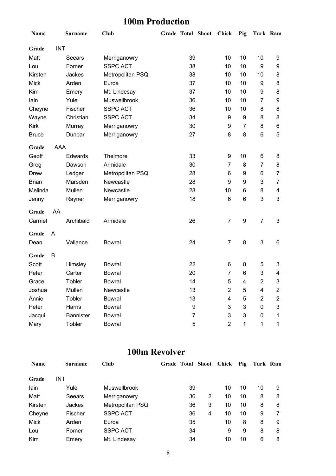### **100m Production**

| Name         |            | <b>Surname</b>   | <b>Club</b>      | <b>Grade Total Shoot</b> |    | Chick          | Pig              | Turk Ram         |                |
|--------------|------------|------------------|------------------|--------------------------|----|----------------|------------------|------------------|----------------|
| Grade        | <b>INT</b> |                  |                  |                          |    |                |                  |                  |                |
| Matt         |            | Seears           | Merriganowry     |                          | 39 | 10             | 10               | 10               | 9              |
| Lou          |            | Forner           | <b>SSPC ACT</b>  |                          | 38 | 10             | 10               | 9                | 9              |
| Kirsten      |            | Jackes           | Metropolitan PSQ |                          | 38 | 10             | 10               | 10               | 8              |
| <b>Mick</b>  |            | Arden            | Euroa            |                          | 37 | 10             | 10               | 9                | 8              |
| Kim          |            | Emery            | Mt. Lindesay     |                          | 37 | 10             | 10               | 9                | 8              |
| lain         |            | Yule             | Muswellbrook     |                          | 36 | 10             | 10               | 7                | 9              |
| Cheyne       |            | Fischer          | <b>SSPC ACT</b>  |                          | 36 | 10             | 10               | 8                | 8              |
| Wayne        |            | Christian        | <b>SSPC ACT</b>  |                          | 34 | 9              | 9                | 8                | 8              |
| Kirk         |            | Murray           | Merriganowry     |                          | 30 | 9              | $\overline{7}$   | 8                | 6              |
| <b>Bruce</b> |            | Dunbar           | Merriganowry     |                          | 27 | 8              | 8                | $\,6$            | 5              |
| Grade        | AAA        |                  |                  |                          |    |                |                  |                  |                |
| Geoff        |            | Edwards          | Thelmore         |                          | 33 | 9              | 10               | 6                | 8              |
| Greg         |            | Dawson           | Armidale         |                          | 30 | 7              | 8                | $\overline{7}$   | 8              |
| <b>Drew</b>  |            | Ledger           | Metropolitan PSQ |                          | 28 | 6              | 9                | 6                | 7              |
| <b>Brian</b> |            | Marsden          | Newcastle        |                          | 28 | 9              | 9                | 3                | $\overline{7}$ |
| Melinda      |            | Mullen           | Newcastle        |                          | 28 | 10             | 6                | 8                | 4              |
| Jenny        |            | Rayner           | Merriganowry     |                          | 18 | 6              | 6                | 3                | 3              |
| Grade        | AA         |                  |                  |                          |    |                |                  |                  |                |
| Carmel       |            | Archibald        | Armidale         |                          | 26 | $\overline{7}$ | $\boldsymbol{9}$ | $\overline{7}$   | 3              |
| Grade        | A          |                  |                  |                          |    |                |                  |                  |                |
| Dean         |            | Vallance         | <b>Bowral</b>    |                          | 24 | 7              | 8                | $\mathsf 3$      | 6              |
| Grade        | B          |                  |                  |                          |    |                |                  |                  |                |
| Scott        |            | Himsley          | <b>Bowral</b>    |                          | 22 | 6              | 8                | 5                | 3              |
| Peter        |            | Carter           | <b>Bowral</b>    |                          | 20 | $\overline{7}$ | 6                | 3                | 4              |
| Grace        |            | Tobler           | <b>Bowral</b>    |                          | 14 | 5              | 4                | $\boldsymbol{2}$ | 3              |
| Joshua       |            | Mullen           | Newcastle        |                          | 13 | $\overline{2}$ | 5                | 4                | 2              |
| Annie        |            | Tobler           | <b>Bowral</b>    |                          | 13 | 4              | 5                | $\overline{2}$   | $\overline{c}$ |
| Peter        |            | Harris           | <b>Bowral</b>    |                          | 9  | 3              | 3                | 0                | 3              |
| Jacqui       |            | <b>Bannister</b> | <b>Bowral</b>    |                          | 7  | 3              | 3                | 0                | 1              |
| Mary         |            | Tobler           | <b>Bowral</b>    |                          | 5  | $\overline{2}$ | 1                | 1                | 1              |

### **100m Revolver**

| <b>Name</b> | <b>Surname</b> | <b>Club</b>      | <b>Grade Total Shoot</b> |   | Chick | Pig | Turk Ram |   |
|-------------|----------------|------------------|--------------------------|---|-------|-----|----------|---|
| Grade       | INT            |                  |                          |   |       |     |          |   |
| lain        | Yule           | Muswellbrook     | 39                       |   | 10    | 10  | 10       | 9 |
| Matt        | Seears         | Merriganowry     | 36                       | 2 | 10    | 10  | 8        | 8 |
| Kirsten     | <b>Jackes</b>  | Metropolitan PSQ | 36                       | 3 | 10    | 10  | 8        | 8 |
| Cheyne      | Fischer        | <b>SSPC ACT</b>  | 36                       | 4 | 10    | 10  | 9        | 7 |
| Mick        | Arden          | Euroa            | 35                       |   | 10    | 8   | 8        | 9 |
| Lou         | Forner         | <b>SSPC ACT</b>  | 34                       |   | 9     | 9   | 8        | 8 |
| Kim         | Emery          | Mt. Lindesay     | 34                       |   | 10    | 10  | 6        | 8 |
|             |                |                  |                          |   |       |     |          |   |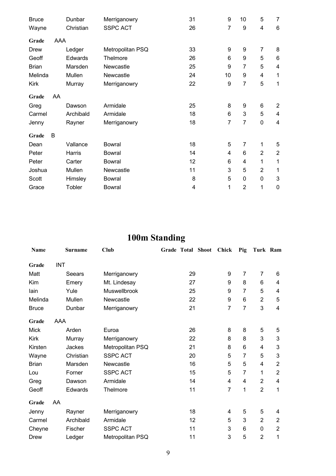| <b>Bruce</b> |     | Dunbar    | Merriganowry     | 31 | 9  | 10             | 5              | 7              |
|--------------|-----|-----------|------------------|----|----|----------------|----------------|----------------|
| Wayne        |     | Christian | <b>SSPC ACT</b>  | 26 | 7  | 9              | 4              | 6              |
| Grade        | AAA |           |                  |    |    |                |                |                |
| Drew         |     | Ledger    | Metropolitan PSQ | 33 | 9  | 9              | $\overline{7}$ | 8              |
| Geoff        |     | Edwards   | Thelmore         | 26 | 6  | 9              | 5              | 6              |
| <b>Brian</b> |     | Marsden   | Newcastle        | 25 | 9  | 7              | 5              | $\overline{4}$ |
| Melinda      |     | Mullen    | Newcastle        | 24 | 10 | 9              | 4              | 1              |
| Kirk         |     | Murray    | Merriganowry     | 22 | 9  | 7              | 5              | 1              |
| Grade        | AA  |           |                  |    |    |                |                |                |
| Greg         |     | Dawson    | Armidale         | 25 | 8  | 9              | 6              | 2              |
| Carmel       |     | Archibald | Armidale         | 18 | 6  | 3              | 5              | $\overline{4}$ |
| Jenny        |     | Rayner    | Merriganowry     | 18 | 7  | 7              | 0              | 4              |
| Grade        | B   |           |                  |    |    |                |                |                |
| Dean         |     | Vallance  | <b>Bowral</b>    | 18 | 5  | 7              | 1              | 5              |
| Peter        |     | Harris    | <b>Bowral</b>    | 14 | 4  | 6              | $\overline{2}$ | $\overline{2}$ |
| Peter        |     | Carter    | Bowral           | 12 | 6  | 4              | 1              | 1              |
| Joshua       |     | Mullen    | Newcastle        | 11 | 3  | 5              | $\overline{2}$ | 1              |
| Scott        |     | Himsley   | <b>Bowral</b>    | 8  | 5  | 0              | 0              | 3              |
| Grace        |     | Tobler    | <b>Bowral</b>    | 4  | 1  | $\overline{2}$ | 1              | $\mathbf 0$    |

# **100m Standing**

|              |            |                | $\frac{1}{2}$    |                   |    |                |                |                |                         |
|--------------|------------|----------------|------------------|-------------------|----|----------------|----------------|----------------|-------------------------|
| <b>Name</b>  |            | <b>Surname</b> | <b>Club</b>      | Grade Total Shoot |    | <b>Chick</b>   | Pig            | Turk Ram       |                         |
| Grade        | <b>INT</b> |                |                  |                   |    |                |                |                |                         |
| Matt         |            | Seears         | Merriganowry     |                   | 29 | 9              | 7              | $\overline{7}$ | 6                       |
| Kim          |            | Emery          | Mt. Lindesay     |                   | 27 | 9              | 8              | 6              | 4                       |
| lain         |            | Yule           | Muswellbrook     |                   | 25 | 9              | 7              | 5              | 4                       |
| Melinda      |            | Mullen         | Newcastle        |                   | 22 | 9              | 6              | $\overline{2}$ | 5                       |
| <b>Bruce</b> |            | Dunbar         | Merriganowry     |                   | 21 | $\overline{7}$ | $\overline{7}$ | 3              | $\overline{\mathbf{4}}$ |
| Grade        | AAA        |                |                  |                   |    |                |                |                |                         |
| <b>Mick</b>  |            | Arden          | Euroa            |                   | 26 | 8              | 8              | 5              | 5                       |
| Kirk         |            | Murray         | Merriganowry     |                   | 22 | 8              | 8              | 3              | 3                       |
| Kirsten      |            | Jackes         | Metropolitan PSQ |                   | 21 | 8              | 6              | 4              | 3                       |
| Wayne        |            | Christian      | <b>SSPC ACT</b>  |                   | 20 | 5              | 7              | 5              | $\mathbf{3}$            |
| <b>Brian</b> |            | Marsden        | Newcastle        |                   | 16 | 5              | 5              | 4              | $\overline{2}$          |
| Lou          |            | Forner         | <b>SSPC ACT</b>  |                   | 15 | 5              | $\overline{7}$ | 1              | $\overline{2}$          |
| Greg         |            | Dawson         | Armidale         |                   | 14 | 4              | 4              | $\overline{2}$ | 4                       |
| Geoff        |            | Edwards        | Thelmore         |                   | 11 | $\overline{7}$ | 1              | $\overline{2}$ | 1                       |
| Grade        | AA         |                |                  |                   |    |                |                |                |                         |
| Jenny        |            | Rayner         | Merriganowry     |                   | 18 | 4              | 5              | 5              | 4                       |
| Carmel       |            | Archibald      | Armidale         |                   | 12 | 5              | 3              | $\overline{2}$ | $\overline{2}$          |
| Cheyne       |            | Fischer        | <b>SSPC ACT</b>  |                   | 11 | 3              | 6              | 0              | $\overline{2}$          |
| Drew         |            | Ledger         | Metropolitan PSQ |                   | 11 | 3              | 5              | $\overline{2}$ | 1                       |
|              |            |                |                  |                   |    |                |                |                |                         |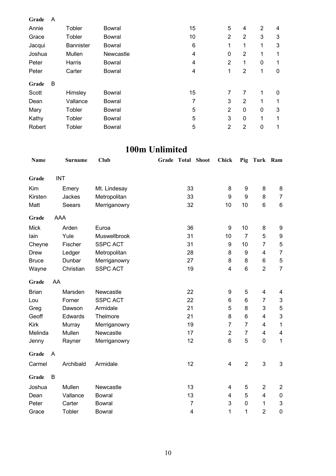| Grade  | A |                  |                  |    |                |                |   |                  |
|--------|---|------------------|------------------|----|----------------|----------------|---|------------------|
| Annie  |   | Tobler           | <b>Bowral</b>    | 15 | 5              | 4              | 2 | 4                |
| Grace  |   | Tobler           | <b>Bowral</b>    | 10 | $\overline{2}$ | $\overline{2}$ | 3 | 3                |
| Jacqui |   | <b>Bannister</b> | <b>Bowral</b>    | 6  | 1              | 1              | 1 | 3                |
| Joshua |   | Mullen           | <b>Newcastle</b> | 4  | 0              | $\overline{2}$ | 1 | 1                |
| Peter  |   | Harris           | <b>Bowral</b>    | 4  | $\overline{2}$ | 1              | 0 | 1                |
| Peter  |   | Carter           | <b>Bowral</b>    | 4  | 1              | $\overline{2}$ | 1 | $\boldsymbol{0}$ |
| Grade  | В |                  |                  |    |                |                |   |                  |
| Scott  |   | Himsley          | <b>Bowral</b>    | 15 | 7              | 7              | 1 | 0                |
| Dean   |   | Vallance         | <b>Bowral</b>    | 7  | 3              | 2              | 1 | 1                |
| Mary   |   | Tobler           | <b>Bowral</b>    | 5  | $\overline{2}$ | $\mathbf 0$    | 0 | 3                |
| Kathy  |   | Tobler           | <b>Bowral</b>    | 5  | 3              | 0              | 1 | 1                |
| Robert |   | Tobler           | <b>Bowral</b>    | 5  | $\overline{2}$ | $\overline{2}$ | 0 | 1                |

### **100m Unlimited**

| Name         |    | Surname    | Club            | <b>Grade Total Shoot</b> |                | Chick          | Pig            | Turk Ram                |                           |
|--------------|----|------------|-----------------|--------------------------|----------------|----------------|----------------|-------------------------|---------------------------|
| Grade        |    | <b>INT</b> |                 |                          |                |                |                |                         |                           |
| Kim          |    | Emery      | Mt. Lindesay    |                          | 33             | 8              | 9              | 8                       | 8                         |
| Kirsten      |    | Jackes     | Metropolitan    |                          | 33             | 9              | 9              | 8                       | $\overline{7}$            |
| Matt         |    | Seears     | Merriganowry    |                          | 32             | 10             | 10             | 6                       | $6\phantom{1}$            |
| Grade        |    | <b>AAA</b> |                 |                          |                |                |                |                         |                           |
| <b>Mick</b>  |    | Arden      | Euroa           |                          | 36             | 9              | 10             | 8                       | 9                         |
| lain         |    | Yule       | Muswellbrook    |                          | 31             | 10             | $\overline{7}$ | 5                       | 9                         |
| Cheyne       |    | Fischer    | <b>SSPC ACT</b> |                          | 31             | 9              | 10             | $\overline{7}$          | 5                         |
| <b>Drew</b>  |    | Ledger     | Metropolitan    |                          | 28             | 8              | 9              | $\overline{\mathbf{4}}$ | $\overline{7}$            |
| <b>Bruce</b> |    | Dunbar     | Merriganowry    |                          | 27             | 8              | 8              | 6                       | 5                         |
| Wayne        |    | Christian  | <b>SSPC ACT</b> |                          | 19             | 4              | 6              | $\overline{2}$          | $\overline{7}$            |
| Grade        | AA |            |                 |                          |                |                |                |                         |                           |
| <b>Brian</b> |    | Marsden    | Newcastle       |                          | 22             | 9              | 5              | $\overline{4}$          | 4                         |
| Lou          |    | Forner     | <b>SSPC ACT</b> |                          | 22             | 6              | 6              | $\overline{7}$          | 3                         |
| Greg         |    | Dawson     | Armidale        |                          | 21             | 5              | 8              | 3                       | $\mathbf 5$               |
| Geoff        |    | Edwards    | Thelmore        |                          | 21             | 8              | 6              | 4                       | $\mathsf 3$               |
| <b>Kirk</b>  |    | Murray     | Merriganowry    |                          | 19             | $\overline{7}$ | $\overline{7}$ | $\overline{4}$          | $\mathbf{1}$              |
| Melinda      |    | Mullen     | Newcastle       |                          | 17             | $\overline{2}$ | $\overline{7}$ | 4                       | 4                         |
| Jenny        |    | Rayner     | Merriganowry    |                          | 12             | $\,6$          | 5              | 0                       | $\mathbf 1$               |
| Grade        | A  |            |                 |                          |                |                |                |                         |                           |
| Carmel       |    | Archibald  | Armidale        |                          | 12             | 4              | $\overline{2}$ | 3                       | $\mathfrak{S}$            |
| Grade        | B  |            |                 |                          |                |                |                |                         |                           |
| Joshua       |    | Mullen     | Newcastle       |                          | 13             | 4              | 5              | $\overline{2}$          | $\overline{c}$            |
| Dean         |    | Vallance   | <b>Bowral</b>   |                          | 13             | 4              | 5              | $\overline{4}$          | $\pmb{0}$                 |
| Peter        |    | Carter     | <b>Bowral</b>   |                          | $\overline{7}$ | 3              | 0              | 1                       | $\ensuremath{\mathsf{3}}$ |
| Grace        |    | Tobler     | <b>Bowral</b>   |                          | $\overline{4}$ | 1              | 1              | $\overline{2}$          | $\mathbf 0$               |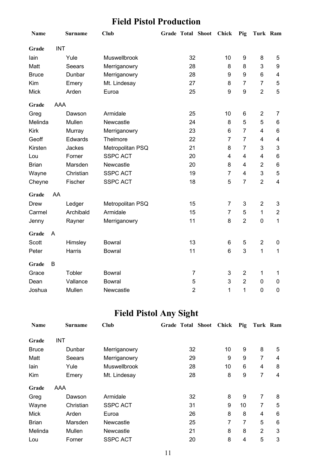### **Field Pistol Production**

| Name         |            | <b>Surname</b> | <b>Club</b>      |                | Grade Total Shoot | <b>Chick</b>     | Pig            | Turk Ram                |                |
|--------------|------------|----------------|------------------|----------------|-------------------|------------------|----------------|-------------------------|----------------|
| Grade        | <b>INT</b> |                |                  |                |                   |                  |                |                         |                |
| lain         |            | Yule           | Muswellbrook     | 32             |                   | 10               | 9              | 8                       | 5              |
| Matt         |            | Seears         | Merriganowry     | 28             |                   | 8                | 8              | 3                       | 9              |
| <b>Bruce</b> |            | Dunbar         | Merriganowry     | 28             |                   | 9                | 9              | 6                       | 4              |
| Kim          |            | Emery          | Mt. Lindesay     | 27             |                   | 8                | $\overline{7}$ | $\overline{7}$          | 5              |
| <b>Mick</b>  |            | Arden          | Euroa            | 25             |                   | $\boldsymbol{9}$ | 9              | $\overline{2}$          | 5              |
| Grade        | <b>AAA</b> |                |                  |                |                   |                  |                |                         |                |
| Greg         |            | Dawson         | Armidale         | 25             |                   | 10               | 6              | $\overline{2}$          | $\overline{7}$ |
| Melinda      |            | Mullen         | Newcastle        | 24             |                   | 8                | 5              | 5                       | 6              |
| <b>Kirk</b>  |            | Murray         | Merriganowry     | 23             |                   | 6                | $\overline{7}$ | 4                       | 6              |
| Geoff        |            | Edwards        | Thelmore         | 22             |                   | $\overline{7}$   | $\overline{7}$ | 4                       | 4              |
| Kirsten      |            | <b>Jackes</b>  | Metropolitan PSQ | 21             |                   | 8                | $\overline{7}$ | 3                       | 3              |
| Lou          |            | Forner         | <b>SSPC ACT</b>  | 20             |                   | 4                | $\overline{4}$ | $\overline{\mathbf{4}}$ | 6              |
| <b>Brian</b> |            | Marsden        | Newcastle        | 20             |                   | 8                | $\overline{4}$ | $\overline{2}$          | 6              |
| Wayne        |            | Christian      | <b>SSPC ACT</b>  | 19             |                   | $\overline{7}$   | $\overline{4}$ | 3                       | 5              |
| Cheyne       |            | Fischer        | <b>SSPC ACT</b>  | 18             |                   | 5                | $\overline{7}$ | $\overline{2}$          | $\overline{4}$ |
| Grade        | AA         |                |                  |                |                   |                  |                |                         |                |
| Drew         |            | Ledger         | Metropolitan PSQ | 15             |                   | 7                | 3              | $\overline{2}$          | 3              |
| Carmel       |            | Archibald      | Armidale         | 15             |                   | $\overline{7}$   | 5              | 1                       | $\overline{2}$ |
| Jenny        |            | Rayner         | Merriganowry     | 11             |                   | 8                | $\overline{2}$ | $\pmb{0}$               | 1              |
| Grade        | A          |                |                  |                |                   |                  |                |                         |                |
| Scott        |            | Himsley        | <b>Bowral</b>    | 13             |                   | 6                | 5              | $\boldsymbol{2}$        | 0              |
| Peter        |            | Harris         | <b>Bowral</b>    | 11             |                   | 6                | 3              | 1                       | 1              |
| Grade        | B          |                |                  |                |                   |                  |                |                         |                |
| Grace        |            | Tobler         | <b>Bowral</b>    | $\overline{7}$ |                   | 3                | $\overline{2}$ | 1                       | $\mathbf 1$    |
| Dean         |            | Vallance       | <b>Bowral</b>    | 5              |                   | 3                | $\overline{2}$ | $\mathbf 0$             | 0              |
| Joshua       |            | Mullen         | Newcastle        | $\overline{2}$ |                   | 1                | 1              | $\pmb{0}$               | $\pmb{0}$      |

# **Field Pistol Any Sight**

| <b>Name</b>  | <b>Surname</b> | Club                | Grade Total Shoot | Chick | Pig | Turk Ram       |   |
|--------------|----------------|---------------------|-------------------|-------|-----|----------------|---|
| Grade        | <b>INT</b>     |                     |                   |       |     |                |   |
| <b>Bruce</b> | Dunbar         | Merriganowry        | 32                | 10    | 9   | 8              | 5 |
| Matt         | Seears         | Merriganowry        | 29                | 9     | 9   | 7              | 4 |
| lain         | Yule           | <b>Muswellbrook</b> | 28                | 10    | 6   | 4              | 8 |
| Kim          | Emery          | Mt. Lindesay        | 28                | 8     | 9   | 7              | 4 |
| Grade        | AAA            |                     |                   |       |     |                |   |
| Greg         | Dawson         | Armidale            | 32                | 8     | 9   | 7              | 8 |
| Wayne        | Christian      | <b>SSPC ACT</b>     | 31                | 9     | 10  | 7              | 5 |
| <b>Mick</b>  | Arden          | Euroa               | 26                | 8     | 8   | 4              | 6 |
| <b>Brian</b> | Marsden        | Newcastle           | 25                | 7     | 7   | 5              | 6 |
| Melinda      | Mullen         | Newcastle           | 21                | 8     | 8   | $\overline{2}$ | 3 |
| Lou          | Forner         | <b>SSPC ACT</b>     | 20                | 8     | 4   | 5              | 3 |